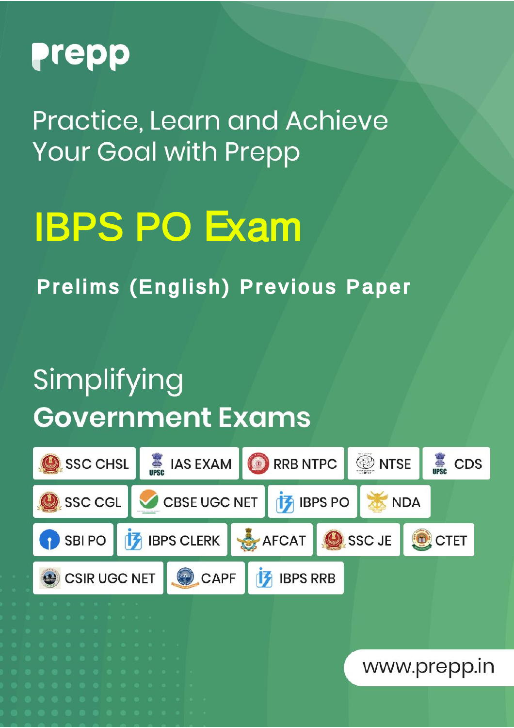

Practice, Learn and Achieve **Your Goal with Prepp** 

# IBPS PO Exam

Prelims (English) Previous Paper

### Simplifying **Government Exams**

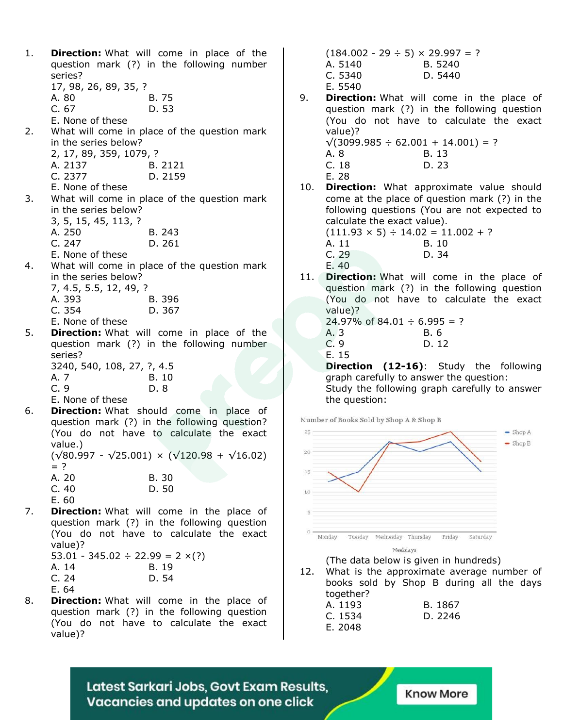| 1. | series?                                    | <b>Direction:</b> What will come in place of the<br>question mark (?) in the following number |
|----|--------------------------------------------|-----------------------------------------------------------------------------------------------|
|    | 17, 98, 26, 89, 35, ?                      |                                                                                               |
|    | A. 80                                      | B. 75                                                                                         |
|    | C.67                                       | D. 53                                                                                         |
|    | E. None of these                           |                                                                                               |
|    |                                            | 2. What will come in place of the question mark                                               |
|    | in the series below?                       |                                                                                               |
|    | 2, 17, 89, 359, 1079, ?                    |                                                                                               |
|    | A. 2137                                    | B. 2121                                                                                       |
|    | C. 2377                                    | D. 2159                                                                                       |
|    | E. None of these                           |                                                                                               |
|    |                                            | 3. What will come in place of the question mark                                               |
|    | in the series below?                       |                                                                                               |
|    | 3, 5, 15, 45, 113, ?                       |                                                                                               |
|    | A. 250                                     | B. 243                                                                                        |
|    | C.247                                      | D. 261                                                                                        |
|    | E. None of these                           |                                                                                               |
| 4. |                                            | What will come in place of the question mark                                                  |
|    | in the series below?                       |                                                                                               |
|    | 7, 4.5, 5.5, 12, 49, ?                     |                                                                                               |
|    | A. 393                                     | B. 396                                                                                        |
|    | C. 354                                     | D. 367                                                                                        |
|    | E. None of these                           |                                                                                               |
| 5. |                                            | Direction: What will come in place of the                                                     |
|    |                                            | question mark (?) in the following number                                                     |
|    | series?                                    |                                                                                               |
|    | 3240, 540, 108, 27, ?, 4.5                 |                                                                                               |
|    | A. 7                                       | B. 10                                                                                         |
|    | C.9                                        | D. 8                                                                                          |
|    | E. None of these                           |                                                                                               |
| 6. |                                            | Direction: What should come in place of                                                       |
|    |                                            | question mark (?) in the following question?                                                  |
|    |                                            | (You do not have to calculate the exact                                                       |
|    | value.)                                    |                                                                                               |
|    |                                            | $(\sqrt{80.997} - \sqrt{25.001}) \times (\sqrt{120.98} + \sqrt{16.02})$                       |
|    | $=$ ?                                      |                                                                                               |
|    | A. 20                                      | B. 30                                                                                         |
|    | C.40                                       | D. 50                                                                                         |
|    | E. 60                                      |                                                                                               |
| 7. |                                            | <b>Direction:</b> What will come in the place of                                              |
|    |                                            | question mark (?) in the following question                                                   |
|    |                                            | (You do not have to calculate the exact                                                       |
|    | value)?                                    |                                                                                               |
|    | $53.01 - 345.02 \div 22.99 = 2 \times (?)$ |                                                                                               |
|    | A. 14                                      | B. 19                                                                                         |
|    | C.24                                       | D. 54                                                                                         |

E. 64

8. **Direction:** What will come in the place of question mark (?) in the following question (You do not have to calculate the exact value)?

 $(184.002 - 29 \div 5) \times 29.997 = ?$ A. 5140 B. 5240 C. 5340 D. 5440 E. 5540

9. **Direction:** What will come in the place of question mark (?) in the following question (You do not have to calculate the exact value)?  $\sqrt{(3099.985 \div 62.001 + 14.001)}$  = ?

A. 8 B. 13 C. 18 D. 23 E. 28

10. **Direction:** What approximate value should come at the place of question mark (?) in the following questions (You are not expected to calculate the exact value).

 $(111.93 \times 5) \div 14.02 = 11.002 + ?$ A. 11 B. 10 C. 29 D. 34 E. 40

11. **Direction:** What will come in the place of question mark (?) in the following question (You do not have to calculate the exact value)?

24.97% of 84.01  $\div$  6.995 = ? A. 3 B. 6 C. 9 D. 12 E. 15

**Direction (12-16)**: Study the following graph carefully to answer the question: Study the following graph carefully to answer the question:

Number of Books Sold by Shop A & Shop B



12. What is the approximate average number of books sold by Shop B during all the days together? A. 1193 B. 1867

| A. 1193 | B. 1867 |
|---------|---------|
| C. 1534 | D. 2246 |
| E. 2048 |         |

Latest Sarkari Jobs, Govt Exam Results, Vacancies and updates on one click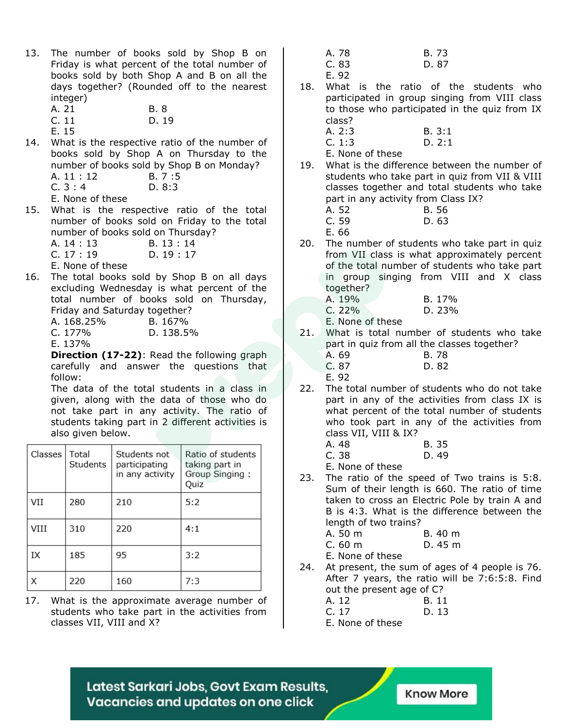- 13. The number of books sold by Shop B on Friday is what percent of the total number of books sold by both Shop A and B on all the days together? (Rounded off to the nearest integer)
	- A. 21 B. 8 C. 11 D. 19
	- E. 15
- 14. What is the respective ratio of the number of books sold by Shop A on Thursday to the number of books sold by Shop B on Monday? A. 11 : 12 B. 7 :5
	- C. 3 : 4 D. 8:3
	- E. None of these
- 15. What is the respective ratio of the total number of books sold on Friday to the total number of books sold on Thursday?
	- A. 14 : 13 B. 13 : 14
	- C. 17 : 19 D. 19 : 17
	- E. None of these
- 16. The total books sold by Shop B on all days excluding Wednesday is what percent of the total number of books sold on Thursday, Friday and Saturday together?

| A. 168.25% | B. 167%   |
|------------|-----------|
| $C. 177\%$ | D. 138.5% |
| E. 137%    |           |

**Direction (17-22)**: Read the following graph carefully and answer the questions that follow:

The data of the total students in a class in given, along with the data of those who do not take part in any activity. The ratio of students taking part in 2 different activities is also given below.

| Classes | Total<br>Students | Students not<br>participating<br>in any activity | Ratio of students<br>taking part in<br>Group Singing:<br>Quiz |
|---------|-------------------|--------------------------------------------------|---------------------------------------------------------------|
| VII     | 280               | 210                                              | 5:2                                                           |
| VIII    | 310               | 220                                              | 4:1                                                           |
| IX      | 185               | 95                                               | 3:2                                                           |
| Χ       | 220               | 160                                              | 7:3                                                           |

17. What is the approximate average number of students who take part in the activities from classes VII, VIII and X?

| A. 78 | B. 73 |
|-------|-------|
| C. 83 | D. 87 |

- E. 92
- 18. What is the ratio of the students who participated in group singing from VIII class to those who participated in the quiz from IX class?
	- A. 2:3 B. 3:1 C. 1:3 D. 2:1

E. None of these

- 19. What is the difference between the number of students who take part in quiz from VII & VIII classes together and total students who take part in any activity from Class IX? A. 52 B. 56
	- C. 59 D. 63
	- E. 66
- 20. The number of students who take part in quiz from VII class is what approximately percent of the total number of students who take part in group singing from VIII and X class together?
	- A. 19% B. 17% C. 22% D. 23%

E. None of these

- 21. What is total number of students who take part in quiz from all the classes together? A. 69 B. 78
	- C. 87 D. 82

E. 92

22. The total number of students who do not take part in any of the activities from class IX is what percent of the total number of students who took part in any of the activities from class VII, VIII & IX?

| A. 48                  | B. 35 |
|------------------------|-------|
| C.38                   | D. 49 |
| $\Gamma$ None of these |       |

E. None of these

23. The ratio of the speed of Two trains is 5:8. Sum of their length is 660. The ratio of time taken to cross an Electric Pole by train A and B is 4:3. What is the difference between the length of two trains?

| A. 50 m       | B. 40 m |  |
|---------------|---------|--|
| $\sim$ $\sim$ |         |  |

C. 60 m D. 45 m

E. None of these

24. At present, the sum of ages of 4 people is 76. After 7 years, the ratio will be 7:6:5:8. Find out the present age of C? A. 12 B. 11

| C. 17 | D. 13 |
|-------|-------|
|-------|-------|

E. None of these

Latest Sarkari Jobs, Govt Exam Results, Vacancies and updates on one click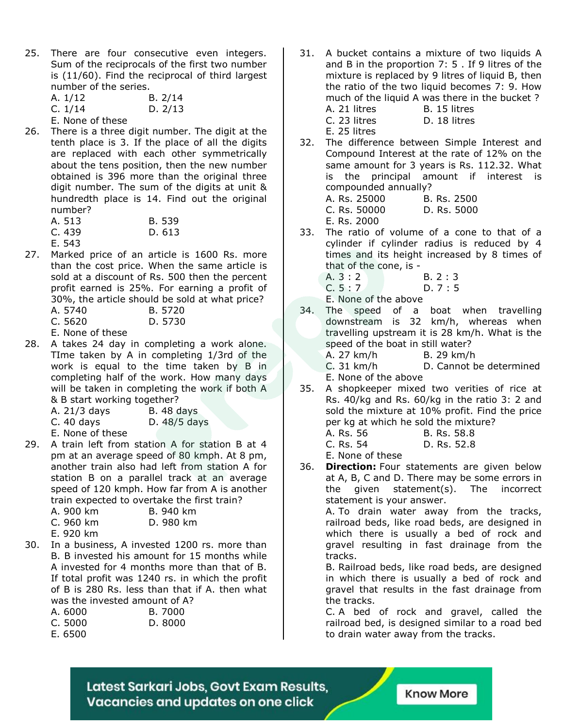- 25. There are four consecutive even integers. Sum of the reciprocals of the first two number is (11/60). Find the reciprocal of third largest number of the series.
	- A. 1/12 B. 2/14 C. 1/14 D. 2/13
	- E. None of these
- 26. There is a three digit number. The digit at the tenth place is 3. If the place of all the digits are replaced with each other symmetrically about the tens position, then the new number obtained is 396 more than the original three digit number. The sum of the digits at unit & hundredth place is 14. Find out the original number?
	- A. 513 B. 539 C. 439 D. 613
	- E. 543
- 27. Marked price of an article is 1600 Rs. more than the cost price. When the same article is sold at a discount of Rs. 500 then the percent profit earned is 25%. For earning a profit of 30%, the article should be sold at what price?
	- A. 5740 B. 5720
	- C. 5620 D. 5730
	- E. None of these
- 28. A takes 24 day in completing a work alone. TIme taken by A in completing 1/3rd of the work is equal to the time taken by B in completing half of the work. How many days will be taken in completing the work if both A & B start working together?
	- A. 21/3 days B. 48 days
	- C. 40 days D. 48/5 days
	- E. None of these
- 29. A train left from station A for station B at 4 pm at an average speed of 80 kmph. At 8 pm, another train also had left from station A for station B on a parallel track at an average speed of 120 kmph. How far from A is another train expected to overtake the first train?

| A. 900 km | B. 940 km |
|-----------|-----------|
| C. 960 km | D. 980 km |
| - ^^^ '   |           |

- E. 920 km
- 30. In a business, A invested 1200 rs. more than B. B invested his amount for 15 months while A invested for 4 months more than that of B. If total profit was 1240 rs. in which the profit of B is 280 Rs. less than that if A. then what was the invested amount of A?
	- A. 6000 B. 7000 C. 5000 D. 8000
	- E. 6500

31. A bucket contains a mixture of two liquids A and B in the proportion 7: 5 . If 9 litres of the mixture is replaced by 9 litres of liquid B, then the ratio of the two liquid becomes 7: 9. How much of the liquid A was there in the bucket ? A. 21 litres B. 15 litres C. 23 litres D. 18 litres

E. 25 litres

32. The difference between Simple Interest and Compound Interest at the rate of 12% on the same amount for 3 years is Rs. 112.32. What is the principal amount if interest is compounded annually?

|  | A. Rs. 25000 |  | B. Rs. 2500 |
|--|--------------|--|-------------|
|  | C. Rs. 50000 |  | D. Rs. 5000 |
|  |              |  |             |

E. Rs. 2000

- 33. The ratio of volume of a cone to that of a cylinder if cylinder radius is reduced by 4 times and its height increased by 8 times of that of the cone, is -
	- A. 3 : 2 B. 2 : 3
	- C. 5 : 7 D. 7 : 5

E. None of the above

34. The speed of a boat when travelling downstream is 32 km/h, whereas when travelling upstream it is 28 km/h. What is the speed of the boat in still water? A. 27 km/h B. 29 km/h C. 31 km/h D. Cannot be determined

E. None of the above

- 35. A shopkeeper mixed two verities of rice at Rs. 40/kg and Rs. 60/kg in the ratio 3: 2 and sold the mixture at 10% profit. Find the price per kg at which he sold the mixture?
	- A. Rs. 56 B. Rs. 58.8
	- C. Rs. 54 D. Rs. 52.8

E. None of these

36. **Direction:** Four statements are given below at A, B, C and D. There may be some errors in the given statement(s). The incorrect statement is your answer.

> A. To drain water away from the tracks, railroad beds, like road beds, are designed in which there is usually a bed of rock and gravel resulting in fast drainage from the tracks.

> B. Railroad beds, like road beds, are designed in which there is usually a bed of rock and gravel that results in the fast drainage from the tracks.

> C. A bed of rock and gravel, called the railroad bed, is designed similar to a road bed to drain water away from the tracks.

Latest Sarkari Jobs, Govt Exam Results, Vacancies and updates on one click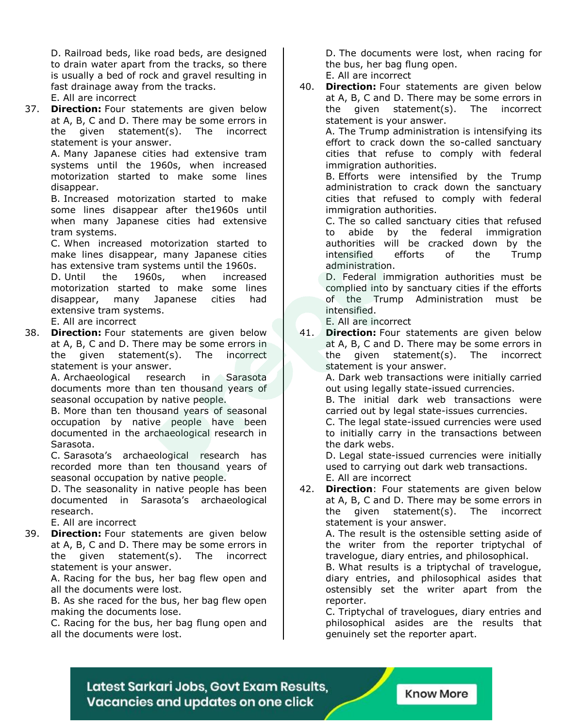D. Railroad beds, like road beds, are designed to drain water apart from the tracks, so there is usually a bed of rock and gravel resulting in fast drainage away from the tracks.

- E. All are incorrect
- 37. **Direction:** Four statements are given below at A, B, C and D. There may be some errors in the given statement(s). The incorrect statement is your answer.

A. Many Japanese cities had extensive tram systems until the 1960s, when increased motorization started to make some lines disappear.

B. Increased motorization started to make some lines disappear after the1960s until when many Japanese cities had extensive tram systems.

C. When increased motorization started to make lines disappear, many Japanese cities has extensive tram systems until the 1960s.

D. Until the 1960s, when increased motorization started to make some lines disappear, many Japanese cities had extensive tram systems.

E. All are incorrect

38. **Direction:** Four statements are given below at A, B, C and D. There may be some errors in the given statement(s). The incorrect statement is your answer.

A. Archaeological research in Sarasota documents more than ten thousand years of seasonal occupation by native people.

B. More than ten thousand years of seasonal occupation by native people have been documented in the archaeological research in Sarasota.

C. Sarasota's archaeological research has recorded more than ten thousand years of seasonal occupation by native people.

D. The seasonality in native people has been documented in Sarasota's archaeological research.

E. All are incorrect

39. **Direction:** Four statements are given below at A, B, C and D. There may be some errors in the given statement(s). The incorrect statement is your answer.

A. Racing for the bus, her bag flew open and all the documents were lost.

B. As she raced for the bus, her bag flew open making the documents lose.

C. Racing for the bus, her bag flung open and all the documents were lost.

D. The documents were lost, when racing for the bus, her bag flung open.

E. All are incorrect

40. **Direction:** Four statements are given below at A, B, C and D. There may be some errors in the given statement(s). The incorrect statement is your answer.

> A. The Trump administration is intensifying its effort to crack down the so-called sanctuary cities that refuse to comply with federal immigration authorities.

> B. Efforts were intensified by the Trump administration to crack down the sanctuary cities that refused to comply with federal immigration authorities.

> C. The so called sanctuary cities that refused to abide by the federal immigration authorities will be cracked down by the intensified efforts of the Trump administration.

> D. Federal immigration authorities must be complied into by sanctuary cities if the efforts of the Trump Administration must be intensified.

E. All are incorrect

41. **Direction:** Four statements are given below at A, B, C and D. There may be some errors in the given statement(s). The incorrect statement is your answer.

> A. Dark web transactions were initially carried out using legally state-issued currencies.

> B. The initial dark web transactions were carried out by legal state-issues currencies.

> C. The legal state-issued currencies were used to initially carry in the transactions between the dark webs.

> D. Legal state-issued currencies were initially used to carrying out dark web transactions. E. All are incorrect

42. **Direction**: Four statements are given below at A, B, C and D. There may be some errors in the given statement(s). The incorrect statement is your answer.

A. The result is the ostensible setting aside of the writer from the reporter triptychal of travelogue, diary entries, and philosophical.

B. What results is a triptychal of travelogue, diary entries, and philosophical asides that ostensibly set the writer apart from the reporter.

C. Triptychal of travelogues, diary entries and philosophical asides are the results that genuinely set the reporter apart.

Latest Sarkari Jobs, Govt Exam Results, Vacancies and updates on one click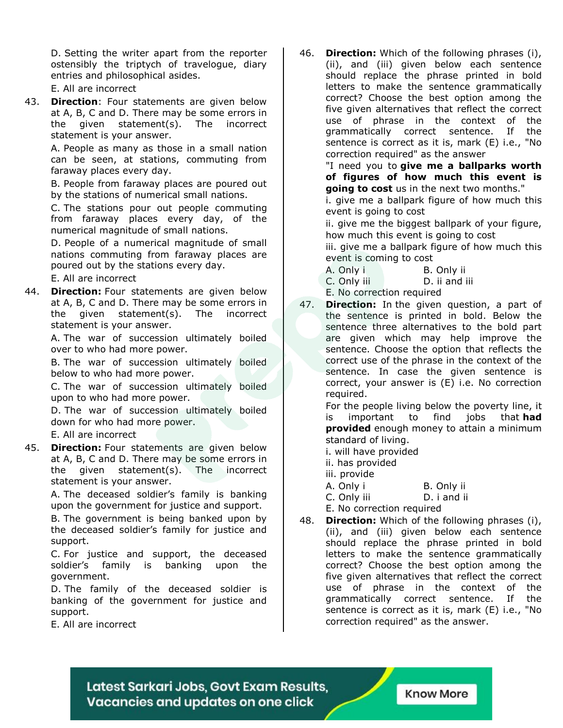D. Setting the writer apart from the reporter ostensibly the triptych of travelogue, diary entries and philosophical asides.

E. All are incorrect

43. **Direction**: Four statements are given below at A, B, C and D. There may be some errors in the given statement(s). The incorrect statement is your answer.

> A. People as many as those in a small nation can be seen, at stations, commuting from faraway places every day.

> B. People from faraway places are poured out by the stations of numerical small nations.

> C. The stations pour out people commuting from faraway places every day, of the numerical magnitude of small nations.

> D. People of a numerical magnitude of small nations commuting from faraway places are poured out by the stations every day.

E. All are incorrect

44. **Direction:** Four statements are given below at A, B, C and D. There may be some errors in the given statement(s). The incorrect statement is your answer.

> A. The war of succession ultimately boiled over to who had more power.

> B. The war of succession ultimately boiled below to who had more power.

> C. The war of succession ultimately boiled upon to who had more power.

> D. The war of succession ultimately boiled down for who had more power.

E. All are incorrect

45. **Direction:** Four statements are given below at A, B, C and D. There may be some errors in the given statement(s). The incorrect statement is your answer.

> A. The deceased soldier's family is banking upon the government for justice and support.

> B. The government is being banked upon by the deceased soldier's family for justice and support.

> C. For justice and support, the deceased soldier's family is banking upon the government.

> D. The family of the deceased soldier is banking of the government for justice and support.

E. All are incorrect

46. **Direction:** Which of the following phrases (i), (ii), and (iii) given below each sentence should replace the phrase printed in bold letters to make the sentence grammatically correct? Choose the best option among the five given alternatives that reflect the correct use of phrase in the context of the grammatically correct sentence. If the sentence is correct as it is, mark (E) i.e., "No correction required" as the answer

"I need you to **give me a ballparks worth of figures of how much this event is going to cost** us in the next two months."

i. give me a ballpark figure of how much this event is going to cost

ii. give me the biggest ballpark of your figure, how much this event is going to cost

iii. give me a ballpark figure of how much this event is coming to cost

- A. Only i B. Only ii
	- C. Only iii D. ii and iii

E. No correction required

47. **Direction:** In the given question, a part of the sentence is printed in bold. Below the sentence three alternatives to the bold part are given which may help improve the sentence. Choose the option that reflects the correct use of the phrase in the context of the sentence. In case the given sentence is correct, your answer is (E) i.e. No correction required.

For the people living below the poverty line, it is important to find jobs that **had provided** enough money to attain a minimum standard of living.

i. will have provided

- ii. has provided
- iii. provide
- A. Only i B. Only ii

C. Only iii D. i and ii

E. No correction required

48. **Direction:** Which of the following phrases (i), (ii), and (iii) given below each sentence should replace the phrase printed in bold letters to make the sentence grammatically correct? Choose the best option among the five given alternatives that reflect the correct use of phrase in the context of the grammatically correct sentence. If the sentence is correct as it is, mark (E) i.e., "No correction required" as the answer.

Latest Sarkari Jobs, Govt Exam Results, Vacancies and updates on one click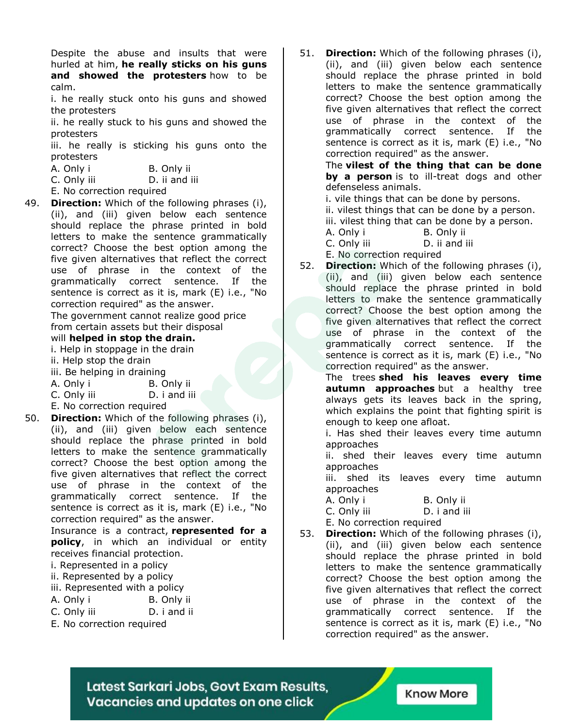Despite the abuse and insults that were hurled at him, **he really sticks on his guns and showed the protesters** how to be calm.

i. he really stuck onto his guns and showed the protesters

ii. he really stuck to his guns and showed the protesters

iii. he really is sticking his guns onto the protesters

| A. Only i   | B. Only ii    |  |
|-------------|---------------|--|
| C. Only iii | D. ii and iii |  |

- E. No correction required
- 49. **Direction:** Which of the following phrases (i), (ii), and (iii) given below each sentence should replace the phrase printed in bold letters to make the sentence grammatically correct? Choose the best option among the five given alternatives that reflect the correct use of phrase in the context of the grammatically correct sentence. If the sentence is correct as it is, mark (E) i.e., "No correction required" as the answer.

The government cannot realize good price from certain assets but their disposal

#### will **helped in stop the drain.**

- i. Help in stoppage in the drain
- ii. Help stop the drain
- iii. Be helping in draining

| A. Only i | B. Only ii |  |
|-----------|------------|--|
|           |            |  |

C. Only iii D. i and iii

#### E. No correction required

50. **Direction:** Which of the following phrases (i), (ii), and (iii) given below each sentence should replace the phrase printed in bold letters to make the sentence grammatically correct? Choose the best option among the five given alternatives that reflect the correct use of phrase in the context of the grammatically correct sentence. If the sentence is correct as it is, mark (E) i.e., "No correction required" as the answer.

> Insurance is a contract, **represented for a policy**, in which an individual or entity receives financial protection.

- i. Represented in a policy
- ii. Represented by a policy
- iii. Represented with a policy
- A. Only i B. Only ii
- C. Only iii D. i and ii
- E. No correction required

51. **Direction:** Which of the following phrases (i), (ii), and (iii) given below each sentence should replace the phrase printed in bold letters to make the sentence grammatically correct? Choose the best option among the five given alternatives that reflect the correct use of phrase in the context of the grammatically correct sentence. If the sentence is correct as it is, mark (E) i.e., "No correction required" as the answer.

> The **vilest of the thing that can be done by a person** is to ill-treat dogs and other defenseless animals.

i. vile things that can be done by persons.

ii. vilest things that can be done by a person.

iii. vilest thing that can be done by a person.

A. Only i B. Only ii

C. Only iii D. ii and iii

E. No correction required

52. **Direction:** Which of the following phrases (i), (ii), and (iii) given below each sentence should replace the phrase printed in bold letters to make the sentence grammatically correct? Choose the best option among the five given alternatives that reflect the correct use of phrase in the context of the grammatically correct sentence. If the sentence is correct as it is, mark (E) i.e., "No correction required" as the answer.

The trees **shed his leaves every time autumn approaches** but a healthy tree always gets its leaves back in the spring, which explains the point that fighting spirit is enough to keep one afloat.

i. Has shed their leaves every time autumn approaches

ii. shed their leaves every time autumn approaches

iii. shed its leaves every time autumn approaches

A. Only i B. Only ii C. Only iii D. i and iii

E. No correction required

53. **Direction:** Which of the following phrases (i), (ii), and (iii) given below each sentence should replace the phrase printed in bold letters to make the sentence grammatically correct? Choose the best option among the five given alternatives that reflect the correct use of phrase in the context of the grammatically correct sentence. If the sentence is correct as it is, mark (E) i.e., "No correction required" as the answer.

Latest Sarkari Jobs, Govt Exam Results, Vacancies and updates on one click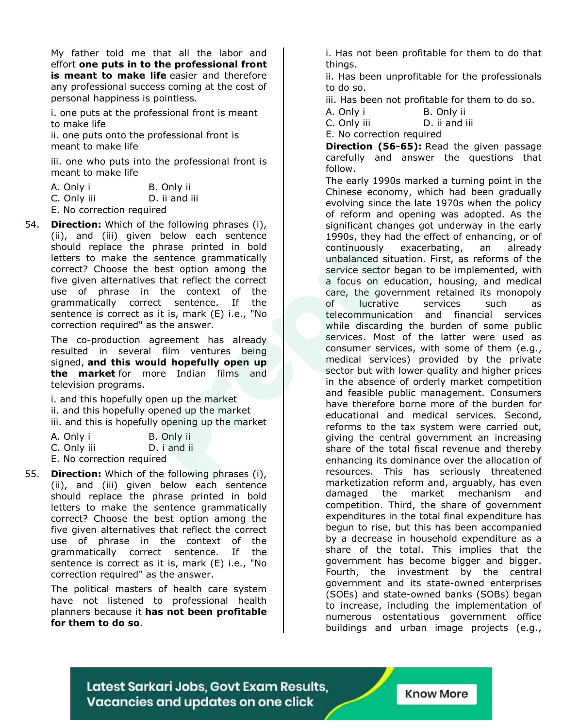My father told me that all the labor and effort **one puts in to the professional front is meant to make life** easier and therefore any professional success coming at the cost of personal happiness is pointless.

i. one puts at the professional front is meant to make life

ii. one puts onto the professional front is meant to make life

iii. one who puts into the professional front is meant to make life

| A. Only i | B. Only ii |
|-----------|------------|
|-----------|------------|

C. Only iii D. ii and iii

- E. No correction required
- 54. **Direction:** Which of the following phrases (i), (ii), and (iii) given below each sentence should replace the phrase printed in bold letters to make the sentence grammatically correct? Choose the best option among the five given alternatives that reflect the correct use of phrase in the context of the grammatically correct sentence. If the sentence is correct as it is, mark (E) i.e., "No correction required" as the answer.

The co-production agreement has already resulted in several film ventures being signed, **and this would hopefully open up the market** for more Indian films and television programs.

i. and this hopefully open up the market ii. and this hopefully opened up the market iii. and this is hopefully opening up the market

| A. Only i   |  | B. Only ii  |
|-------------|--|-------------|
| C. Only iii |  | D. i and ii |

| $C.$ UIIIY III |                                               | $U.$ $\blacksquare$ and $\Pi$ |  |
|----------------|-----------------------------------------------|-------------------------------|--|
|                | The Million and an analysis and acceptance of |                               |  |

- E. No correction required
- 55. **Direction:** Which of the following phrases (i), (ii), and (iii) given below each sentence should replace the phrase printed in bold letters to make the sentence grammatically correct? Choose the best option among the five given alternatives that reflect the correct use of phrase in the context of the grammatically correct sentence. If the sentence is correct as it is, mark (E) i.e., "No correction required" as the answer.

The political masters of health care system have not listened to professional health planners because it **has not been profitable for them to do so**.

i. Has not been profitable for them to do that things.

ii. Has been unprofitable for the professionals to do so.

iii. Has been not profitable for them to do so.

A. Only i B. Only ii

C. Only iii D. ii and iii

E. No correction required

**Direction (56-65):** Read the given passage carefully and answer the questions that follow.

The early 1990s marked a turning point in the Chinese economy, which had been gradually evolving since the late 1970s when the policy of reform and opening was adopted. As the significant changes got underway in the early 1990s, they had the effect of enhancing, or of continuously exacerbating, an already unbalanced situation. First, as reforms of the service sector began to be implemented, with a focus on education, housing, and medical care, the government retained its monopoly of lucrative services such as telecommunication and financial services while discarding the burden of some public services. Most of the latter were used as consumer services, with some of them (e.g., medical services) provided by the private sector but with lower quality and higher prices in the absence of orderly market competition and feasible public management. Consumers have therefore borne more of the burden for educational and medical services. Second, reforms to the tax system were carried out, giving the central government an increasing share of the total fiscal revenue and thereby enhancing its dominance over the allocation of resources. This has seriously threatened marketization reform and, arguably, has even damaged the market mechanism and competition. Third, the share of government expenditures in the total final expenditure has begun to rise, but this has been accompanied by a decrease in household expenditure as a share of the total. This implies that the government has become bigger and bigger. Fourth, the investment by the central government and its state-owned enterprises (SOEs) and state-owned banks (SOBs) began to increase, including the implementation of numerous ostentatious government office buildings and urban image projects (e.g.,

Latest Sarkari Jobs, Govt Exam Results, Vacancies and updates on one click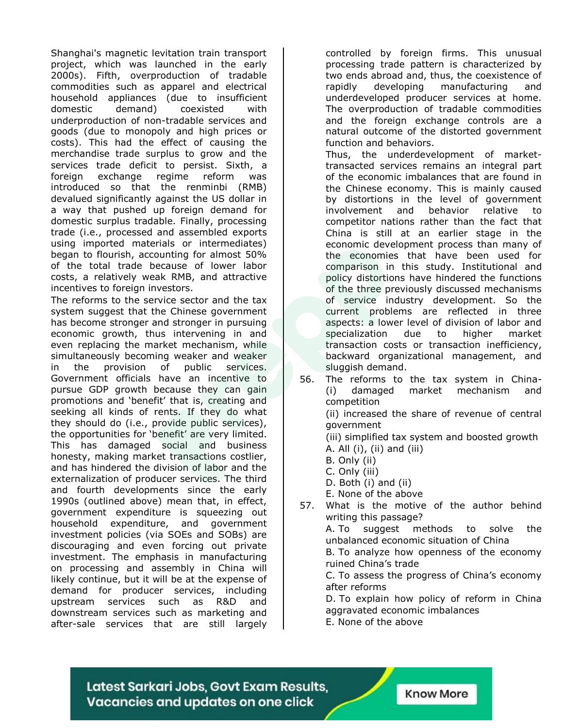Shanghai's magnetic levitation train transport project, which was launched in the early 2000s). Fifth, overproduction of tradable commodities such as apparel and electrical household appliances (due to insufficient domestic demand) coexisted with underproduction of non-tradable services and goods (due to monopoly and high prices or costs). This had the effect of causing the merchandise trade surplus to grow and the services trade deficit to persist. Sixth, a foreign exchange regime reform was introduced so that the renminbi (RMB) devalued significantly against the US dollar in a way that pushed up foreign demand for domestic surplus tradable. Finally, processing trade (i.e., processed and assembled exports using imported materials or intermediates) began to flourish, accounting for almost 50% of the total trade because of lower labor costs, a relatively weak RMB, and attractive incentives to foreign investors.

The reforms to the service sector and the tax system suggest that the Chinese government has become stronger and stronger in pursuing economic growth, thus intervening in and even replacing the market mechanism, while simultaneously becoming weaker and weaker in the provision of public services. Government officials have an incentive to pursue GDP growth because they can gain promotions and 'benefit' that is, creating and seeking all kinds of rents. If they do what they should do (i.e., provide public services), the opportunities for 'benefit' are very limited. This has damaged social and business honesty, making market transactions costlier, and has hindered the division of labor and the externalization of producer services. The third and fourth developments since the early 1990s (outlined above) mean that, in effect, government expenditure is squeezing out household expenditure, and government investment policies (via SOEs and SOBs) are discouraging and even forcing out private investment. The emphasis in manufacturing on processing and assembly in China will likely continue, but it will be at the expense of demand for producer services, including upstream services such as R&D and downstream services such as marketing and after-sale services that are still largely

controlled by foreign firms. This unusual processing trade pattern is characterized by two ends abroad and, thus, the coexistence of rapidly developing manufacturing and underdeveloped producer services at home. The overproduction of tradable commodities and the foreign exchange controls are a natural outcome of the distorted government function and behaviors.

Thus, the underdevelopment of markettransacted services remains an integral part of the economic imbalances that are found in the Chinese economy. This is mainly caused by distortions in the level of government involvement and behavior relative to competitor nations rather than the fact that China is still at an earlier stage in the economic development process than many of the economies that have been used for comparison in this study. Institutional and policy distortions have hindered the functions of the three previously discussed mechanisms of service industry development. So the current problems are reflected in three aspects: a lower level of division of labor and specialization due to higher market transaction costs or transaction inefficiency, backward organizational management, and sluggish demand.

56. The reforms to the tax system in China- (i) damaged market mechanism and competition

(ii) increased the share of revenue of central government

(iii) simplified tax system and boosted growth A. All (i), (ii) and (iii)

- B. Only (ii)
- C. Only (iii)
- D. Both (i) and (ii)
- E. None of the above
- 57. What is the motive of the author behind writing this passage?

A. To suggest methods to solve the unbalanced economic situation of China

B. To analyze how openness of the economy ruined China's trade

C. To assess the progress of China's economy after reforms

D. To explain how policy of reform in China aggravated economic imbalances

E. None of the above

Latest Sarkari Jobs, Govt Exam Results, Vacancies and updates on one click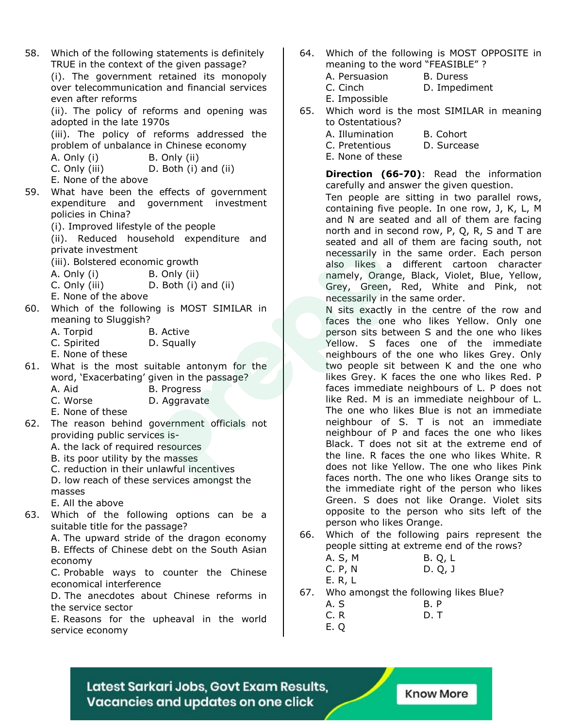58. Which of the following statements is definitely TRUE in the context of the given passage?

(i). The government retained its monopoly over telecommunication and financial services even after reforms

(ii). The policy of reforms and opening was adopted in the late 1970s

(iii). The policy of reforms addressed the problem of unbalance in Chinese economy

A. Only (i) B. Only (ii)

C. Only (iii) D. Both (i) and (ii)

- E. None of the above
- 59. What have been the effects of government expenditure and government investment policies in China?
	- (i). Improved lifestyle of the people

(ii). Reduced household expenditure and private investment

(iii). Bolstered economic growth

- A. Only (i) B. Only (ii)
- C. Only (iii) D. Both (i) and (ii)
- E. None of the above
- 60. Which of the following is MOST SIMILAR in meaning to Sluggish?
	- A. Torpid B. Active
	- C. Spirited D. Squally
	- E. None of these
- 61. What is the most suitable antonym for the word, 'Exacerbating' given in the passage?
	- A. Aid B. Progress
	- C. Worse D. Aggravate
	- E. None of these
- 62. The reason behind government officials not providing public services is-
	- A. the lack of required resources
	- B. its poor utility by the masses
	- C. reduction in their unlawful incentives

D. low reach of these services amongst the masses

- E. All the above
- 63. Which of the following options can be a suitable title for the passage?

A. The upward stride of the dragon economy B. Effects of Chinese debt on the South Asian economy

C. Probable ways to counter the Chinese economical interference

D. The anecdotes about Chinese reforms in the service sector

E. Reasons for the upheaval in the world service economy

- 64. Which of the following is MOST OPPOSITE in meaning to the word "FEASIBLE" ?
	- A. Persuasion B. Duress
	- C. Cinch D. Impediment

E. Impossible

- 65. Which word is the most SIMILAR in meaning to Ostentatious?
	- A. Illumination B. Cohort
	- C. Pretentious D. Surcease
	- E. None of these

**Direction (66-70)**: Read the information carefully and answer the given question.

Ten people are sitting in two parallel rows, containing five people. In one row, J, K, L, M and N are seated and all of them are facing north and in second row, P, Q, R, S and T are seated and all of them are facing south, not necessarily in the same order. Each person also likes a different cartoon character namely, Orange, Black, Violet, Blue, Yellow, Grey, Green, Red, White and Pink, not necessarily in the same order.

N sits exactly in the centre of the row and faces the one who likes Yellow. Only one person sits between S and the one who likes Yellow. S faces one of the immediate neighbours of the one who likes Grey. Only two people sit between K and the one who likes Grey. K faces the one who likes Red. P faces immediate neighbours of L. P does not like Red. M is an immediate neighbour of L. The one who likes Blue is not an immediate neighbour of S. T is not an immediate neighbour of P and faces the one who likes Black. T does not sit at the extreme end of the line. R faces the one who likes White. R does not like Yellow. The one who likes Pink faces north. The one who likes Orange sits to the immediate right of the person who likes Green. S does not like Orange. Violet sits opposite to the person who sits left of the person who likes Orange.

- 66. Which of the following pairs represent the people sitting at extreme end of the rows?
	- A. S, M B. Q, L C. P, N D. Q, J E. R, L
- 67. Who amongst the following likes Blue?
	- A. S B. P
	- C. R D. T
	- E. Q

Latest Sarkari Jobs, Govt Exam Results, Vacancies and updates on one click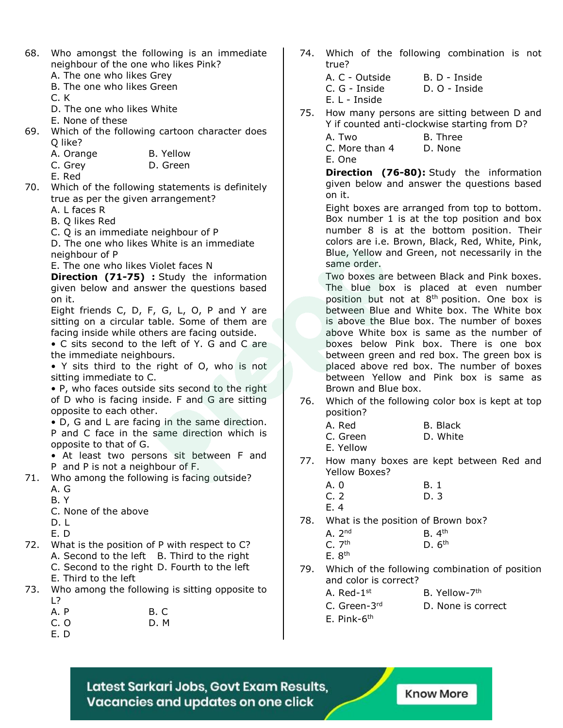- 68. Who amongst the following is an immediate neighbour of the one who likes Pink?
	- A. The one who likes Grey
	- B. The one who likes Green

C. K

- D. The one who likes White
- E. None of these
- 69. Which of the following cartoon character does Q like?
	- A. Orange B. Yellow
	- C. Grey D. Green

E. Red

70. Which of the following statements is definitely true as per the given arrangement?

A. L faces R

- B. Q likes Red
- C. Q is an immediate neighbour of P

D. The one who likes White is an immediate neighbour of P

E. The one who likes Violet faces N

**Direction (71-75) :** Study the information given below and answer the questions based on it.

Eight friends C, D, F, G, L, O, P and Y are sitting on a circular table. Some of them are facing inside while others are facing outside.

• C sits second to the left of Y. G and C are the immediate neighbours.

• Y sits third to the right of O, who is not sitting immediate to C.

• P, who faces outside sits second to the right of D who is facing inside. F and G are sitting opposite to each other.

• D, G and L are facing in the same direction. P and C face in the same direction which is opposite to that of G.

- At least two persons sit between F and P and P is not a neighbour of F.
- 71. Who among the following is facing outside?
	- $A \cdot G$
	- B. Y
	- C. None of the above

D. L

- E. D
- 72. What is the position of P with respect to C? A. Second to the left B. Third to the right C. Second to the right D. Fourth to the left E. Third to the left
- 73. Who among the following is sitting opposite to L?

| A. P | B.C |  |
|------|-----|--|
| C, O | D.M |  |

E. D

- 74. Which of the following combination is not true?
	- A. C Outside B. D Inside C. G - Inside D. O - Inside E. L - Inside
- 75. How many persons are sitting between D and Y if counted anti-clockwise starting from D?
	- A. Two B. Three

C. More than 4 D. None

E. One

**Direction (76-80):** Study the information given below and answer the questions based on it.

Eight boxes are arranged from top to bottom. Box number 1 is at the top position and box number 8 is at the bottom position. Their colors are i.e. Brown, Black, Red, White, Pink, Blue, Yellow and Green, not necessarily in the same order.

Two boxes are between Black and Pink boxes. The blue box is placed at even number position but not at  $8<sup>th</sup>$  position. One box is between Blue and White box. The White box is above the Blue box. The number of boxes above White box is same as the number of boxes below Pink box. There is one box between green and red box. The green box is placed above red box. The number of boxes between Yellow and Pink box is same as Brown and Blue box.

- 76. Which of the following color box is kept at top position?
	- A. Red B. Black C. Green D. White E. Yellow
- 77. How many boxes are kept between Red and Yellow Boxes?
	- A. 0 B. 1 C. 2 D. 3
	- E. 4
- 78. What is the position of Brown box?

| A.2 <sup>nd</sup> | B.4 <sup>th</sup> |
|-------------------|-------------------|
| C.7 <sup>th</sup> | D.6 <sup>th</sup> |
| E.8 <sup>th</sup> |                   |

- 79. Which of the following combination of position and color is correct?
	- A. Red-1 <sup>st</sup> B. Yellow-7<sup>th</sup>
	- C. Green-3rd
		- D. None is correct
	- E. Pink-6<sup>th</sup>

Latest Sarkari Jobs, Govt Exam Results, Vacancies and updates on one click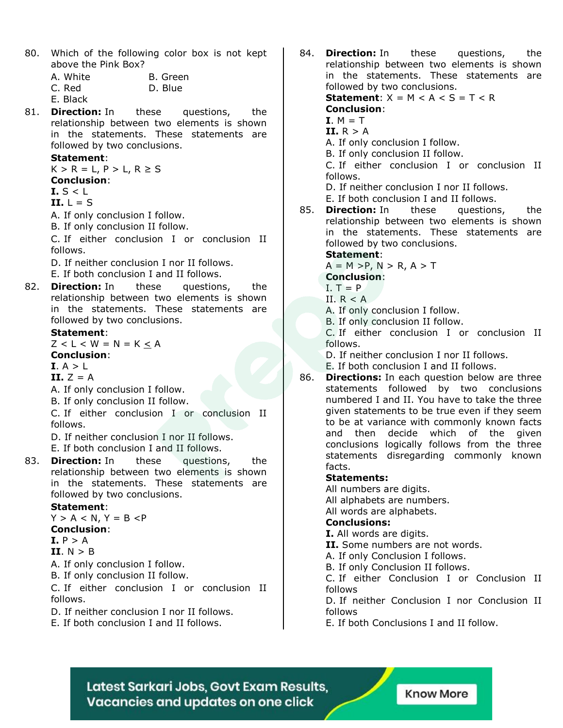80. Which of the following color box is not kept above the Pink Box?

| A. White | B. Green |
|----------|----------|
| C. Red   | D. Blue  |

E. Black

81. **Direction:** In these questions, the relationship between two elements is shown in the statements. These statements are followed by two conclusions.

#### **Statement**:

 $K > R = L$ ,  $P > L$ ,  $R \ge S$ **Conclusion**:

**I.** S < L

**II.** L = S

A. If only conclusion I follow.

B. If only conclusion II follow.

C. If either conclusion I or conclusion II follows.

- D. If neither conclusion I nor II follows.
- E. If both conclusion I and II follows.
- 82. **Direction:** In these questions, the relationship between two elements is shown in the statements. These statements are followed by two conclusions.

#### **Statement**:

 $Z < L < W = N = K < A$ 

#### **Conclusion**:

 $I. A > L$ 

- **II.**  $Z = A$
- A. If only conclusion I follow.
- B. If only conclusion II follow.

C. If either conclusion I or conclusion II follows.

D. If neither conclusion I nor II follows. E. If both conclusion I and II follows.

83. **Direction:** In these questions, the relationship between two elements is shown in the statements. These statements are followed by two conclusions.

#### **Statement**:

 $Y > A < N$ ,  $Y = B < P$ **Conclusion**:  $I. P > A$ 

$$
II. N > B
$$

- A. If only conclusion I follow.
- B. If only conclusion II follow.

C. If either conclusion I or conclusion II follows.

- D. If neither conclusion I nor II follows.
- E. If both conclusion I and II follows.

84. **Direction:** In these questions, the relationship between two elements is shown in the statements. These statements are followed by two conclusions. **Statement:**  $X = M < A < S = T < R$ 

#### **Conclusion**:

- $I. M = T$
- **II.** R > A
- A. If only conclusion I follow.
- B. If only conclusion II follow.

C. If either conclusion I or conclusion II follows.

- D. If neither conclusion I nor II follows.
- E. If both conclusion I and II follows.
- 85. **Direction:** In these questions, the relationship between two elements is shown in the statements. These statements are followed by two conclusions.

#### **Statement**:

 $A = M > P$ ,  $N > R$ ,  $A > T$ 

#### **Conclusion**:

- $I. T = P$
- II.  $R < A$
- A. If only conclusion I follow.

B. If only conclusion II follow.

C. If either conclusion I or conclusion II follows.

D. If neither conclusion I nor II follows.

E. If both conclusion I and II follows.

86. **Directions:** In each question below are three statements followed by two conclusions numbered I and II. You have to take the three given statements to be true even if they seem to be at variance with commonly known facts and then decide which of the given conclusions logically follows from the three statements disregarding commonly known facts.

#### **Statements:**

All numbers are digits.

All alphabets are numbers.

All words are alphabets.

#### **Conclusions:**

**I.** All words are digits.

**II.** Some numbers are not words.

A. If only Conclusion I follows.

B. If only Conclusion II follows.

C. If either Conclusion I or Conclusion II follows

D. If neither Conclusion I nor Conclusion II follows

E. If both Conclusions I and II follow.

Latest Sarkari Jobs, Govt Exam Results, Vacancies and updates on one click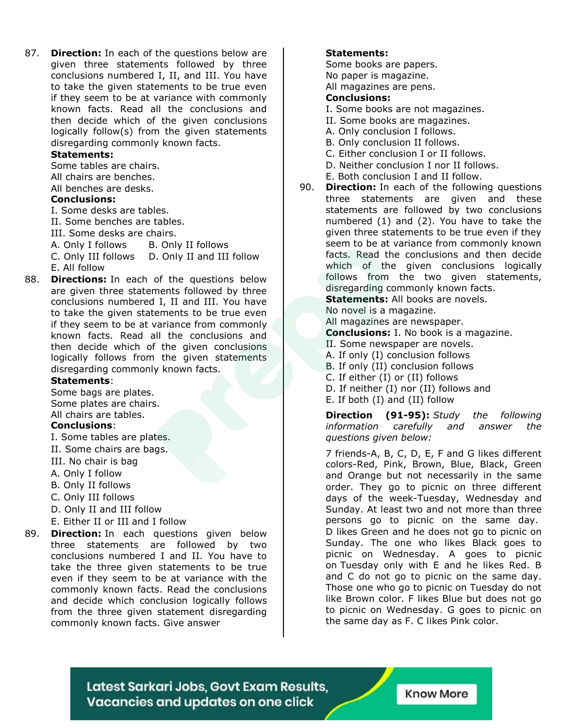87. **Direction:** In each of the questions below are given three statements followed by three conclusions numbered I, II, and III. You have to take the given statements to be true even if they seem to be at variance with commonly known facts. Read all the conclusions and then decide which of the given conclusions logically follow(s) from the given statements disregarding commonly known facts.

#### **Statements:**

Some tables are chairs.

All chairs are benches.

All benches are desks.

#### **Conclusions:**

I. Some desks are tables.

II. Some benches are tables.

III. Some desks are chairs.

A. Only I follows B. Only II follows

C. Only III follows D. Only II and III follow E. All follow

88. **Directions:** In each of the questions below are given three statements followed by three conclusions numbered I, II and III. You have to take the given statements to be true even if they seem to be at variance from commonly known facts. Read all the conclusions and then decide which of the given conclusions logically follows from the given statements disregarding commonly known facts.

#### **Statements**:

Some bags are plates. Some plates are chairs. All chairs are tables.

#### **Conclusions**:

- I. Some tables are plates.
- II. Some chairs are bags.
- III. No chair is bag
- A. Only I follow
- B. Only II follows
- C. Only III follows
- D. Only II and III follow
- E. Either II or III and I follow
- 89. **Direction:** In each questions given below three statements are followed by two conclusions numbered I and II. You have to take the three given statements to be true even if they seem to be at variance with the commonly known facts. Read the conclusions and decide which conclusion logically follows from the three given statement disregarding commonly known facts. Give answer

#### **Statements:**

Some books are papers. No paper is magazine. All magazines are pens.

#### **Conclusions:**

- I. Some books are not magazines.
- II. Some books are magazines.
- A. Only conclusion I follows.
- B. Only conclusion II follows.
- C. Either conclusion I or II follows.
- D. Neither conclusion I nor II follows.
- E. Both conclusion I and II follow.
- 90. **Direction:** In each of the following questions three statements are given and these statements are followed by two conclusions numbered (1) and (2). You have to take the given three statements to be true even if they seem to be at variance from commonly known facts. Read the conclusions and then decide which of the given conclusions logically follows from the two given statements, disregarding commonly known facts. **Statements:** All books are novels.

No novel is a magazine.

All magazines are newspaper.

**Conclusions:** I. No book is a magazine.

- II. Some newspaper are novels.
- A. If only (I) conclusion follows
- B. If only (II) conclusion follows
- C. If either (I) or (II) follows
- D. If neither (I) nor (II) follows and
- E. If both (I) and (II) follow

**Direction (91-95):** *Study the following information carefully and answer the questions given below:*

7 friends-A, B, C, D, E, F and G likes different colors-Red, Pink, Brown, Blue, Black, Green and Orange but not necessarily in the same order. They go to picnic on three different days of the week-Tuesday, Wednesday and Sunday. At least two and not more than three persons go to picnic on the same day. D likes Green and he does not go to picnic on Sunday. The one who likes Black goes to picnic on Wednesday. A goes to picnic on Tuesday only with E and he likes Red. B and C do not go to picnic on the same day. Those one who go to picnic on Tuesday do not like Brown color. F likes Blue but does not go to picnic on Wednesday. G goes to picnic on the same day as F. C likes Pink color.

Latest Sarkari Jobs, Govt Exam Results, Vacancies and updates on one click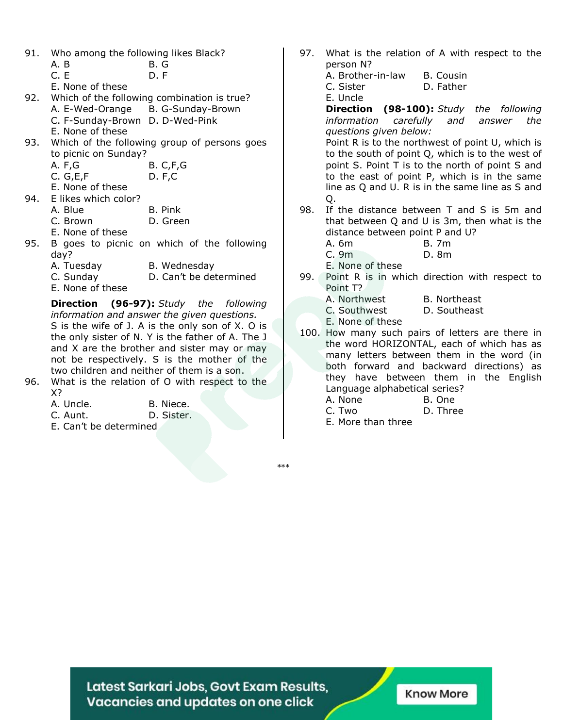| 91. |  |  |  | Who among the following likes Black? |  |  |
|-----|--|--|--|--------------------------------------|--|--|
|-----|--|--|--|--------------------------------------|--|--|

- A. B B. G
- C. E D. F
- E. None of these
- 92. Which of the following combination is true? A. E-Wed-Orange B. G-Sunday-Brown C. F-Sunday-Brown D. D-Wed-Pink E. None of these 93. Which of the following group of persons goes
	- to picnic on Sunday? A. F,G B. C,F,G
		- C. G,E,F D. F,C
		- E. None of these
- 94. E likes which color?
	- A. Blue B. Pink
	- C. Brown D. Green
	- E. None of these
- 95. B goes to picnic on which of the following day?
	- A. Tuesday B. Wednesday
	- C. Sunday D. Can't be determined
	- E. None of these

**Direction (96-97):** *Study the following information and answer the given questions.* S is the wife of J. A is the only son of X. O is the only sister of N. Y is the father of A. The J and X are the brother and sister may or may not be respectively. S is the mother of the two children and neither of them is a son.

96. What is the relation of O with respect to the X?

| A. Uncle. |  |  | B. Niece. |            |
|-----------|--|--|-----------|------------|
| C. Aunt.  |  |  |           | D. Sister. |
| - - ''    |  |  |           |            |

E. Can't be determined

- 97. What is the relation of A with respect to the person N?
	- A. Brother-in-law B. Cousin C. Sister D. Father
	- E. Uncle

**Direction (98-100):** *Study the following information carefully and answer the questions given below:*

Point R is to the northwest of point U, which is to the south of point Q, which is to the west of point S. Point T is to the north of point S and to the east of point P, which is in the same line as Q and U. R is in the same line as S and Q.

- 98. If the distance between T and S is 5m and that between Q and U is 3m, then what is the distance between point P and U?
	- A. 6m B. 7m
	- C. 9m D. 8m
	- E. None of these
- 99. Point R is in which direction with respect to Point T?

| A. Northwest | B. Northeast |
|--------------|--------------|
| C. Southwest | D. Southeast |
| _ _ _ _ _ _  |              |

- E. None of these
- 100. How many such pairs of letters are there in the word HORIZONTAL, each of which has as many letters between them in the word (in both forward and backward directions) as they have between them in the English Language alphabetical series?
	- A. None B. One
	- C. Two D. Three
	- E. More than three

\*\*\*

Latest Sarkari Jobs, Govt Exam Results, Vacancies and updates on one click